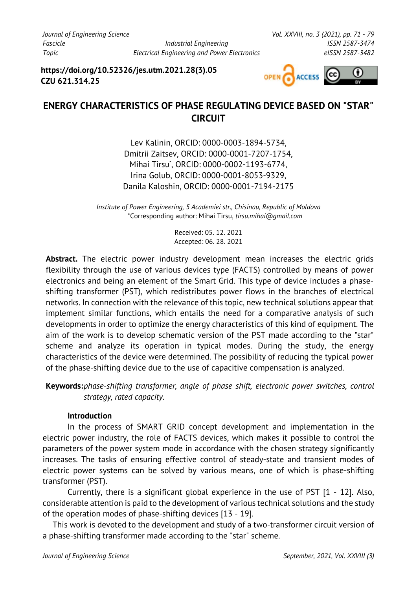**https://doi.org/10.52326/jes.utm.2021.28(3).05 CZU 621.314.25**



# **ENERGY CHARACTERISTICS OF PHASE REGULATING DEVICE BASED ON "STAR" CIRCUIT**

Lev Kalinin, ORCID: 0000-0003-1894-5734, Dmitrii Zaitsev, ORCID: 0000-0001-7207-1754, Mihai Tirsu\* , ORCID: 0000-0002-1193-6774, Irina Golub, ORCID: 0000-0001-8053-9329, Danila Kaloshin, ORCID: 0000-0001-7194-2175

*Institute of Power Engineering, 5 Academiei str., Chisinau, Republic of Moldova* \*Corresponding author: Mihai Tirsu, *tirsu.mihai@gmail.com*

> Received: 05. 12. 2021 Accepted: 06. 28. 2021

**Abstract.** The electric power industry development mean increases the electric grids flexibility through the use of various devices type (FACTS) controlled by means of power electronics and being an element of the Smart Grid. This type of device includes a phaseshifting transformer (PST), which redistributes power flows in the branches of electrical networks. In connection with the relevance of this topic, new technical solutions appear that implement similar functions, which entails the need for a comparative analysis of such developments in order to optimize the energy characteristics of this kind of equipment. The aim of the work is to develop schematic version of the PST made according to the "star" scheme and analyze its operation in typical modes. During the study, the energy characteristics of the device were determined. The possibility of reducing the typical power of the phase-shifting device due to the use of capacitive compensation is analyzed.

**Keywords:***phase-shifting transformer, angle of phase shift, electronic power switches, control strategy, rated capacity.*

# **Introduction**

In the process of SMART GRID concept development and implementation in the electric power industry, the role of FACTS devices, which makes it possible to control the parameters of the power system mode in accordance with the chosen strategy significantly increases. The tasks of ensuring effective control of steady-state and transient modes of electric power systems can be solved by various means, one of which is phase-shifting transformer (PST).

Currently, there is a significant global experience in the use of PST [1 - 12]. Also, considerable attention is paid to the development of various technical solutions and the study of the operation modes of phase-shifting devices [13 - 19].

This work is devoted to the development and study of a two-transformer circuit version of a phase-shifting transformer made according to the "star" scheme.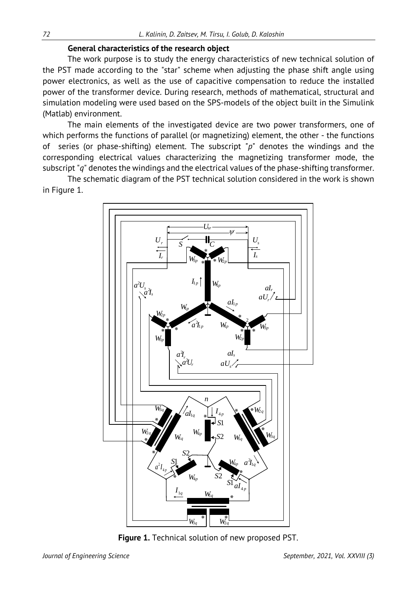## **General characteristics of the research object**

The work purpose is to study the energy characteristics of new technical solution of the PST made according to the "star" scheme when adjusting the phase shift angle using power electronics, as well as the use of capacitive compensation to reduce the installed power of the transformer device. During research, methods of mathematical, structural and simulation modeling were used based on the SPS-models of the object built in the Simulink (Matlab) environment.

The main elements of the investigated device are two power transformers, one of which performs the functions of parallel (or magnetizing) element, the other - the functions of series (or phase-shifting) element. The subscript "*p*" denotes the windings and the corresponding electrical values characterizing the magnetizing transformer mode, the subscript "*q*" denotes the windings and the electrical values of the phase-shifting transformer.

The schematic diagram of the PST technical solution considered in the work is shown in Figure 1.



**Figure 1.** Technical solution of new proposed PST.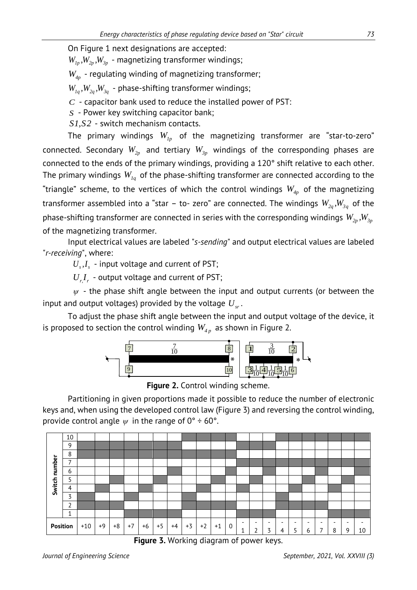On Figure 1 next designations are accepted:

 $W_{1p}$ ,  $W_{2p}$ ,  $W_{3p}$  - magnetizing transformer windings;

*W4p* - regulating winding of magnetizing transformer;

 $W_{1a}$ ,  $W_{2a}$ ,  $W_{3a}$  - phase-shifting transformer windings;

*C* - capacitor bank used to reduce the installed power of PST:

*S* - Power key switching capacitor bank;

*S1,S2* - switch mechanism contacts.

The primary windings  $W_{1p}$  of the magnetizing transformer are "star-to-zero" connected. Secondary  $W_{2p}$  and tertiary  $W_{3p}$  windings of the corresponding phases are connected to the ends of the primary windings, providing a 120° shift relative to each other. The primary windings  $W_{Iq}$  of the phase-shifting transformer are connected according to the "triangle" scheme, to the vertices of which the control windings  $W_{4p}$  of the magnetizing transformer assembled into a "star - to- zero" are connected. The windings  $W_{2q}$ ,  $W_{3q}$  of the phase-shifting transformer are connected in series with the corresponding windings  $W_{2p}$ ,  $W_{3p}$ of the magnetizing transformer.

Input electrical values are labeled "*s-sending*" and output electrical values are labeled "*r-receiving*", where:

 $U_{s}I_{s}$  - input voltage and current of PST;

 $U_r I_r$  - output voltage and current of PST;

 *ψ* - the phase shift angle between the input and output currents (or between the input and output voltages) provided by the voltage  $U_{\alpha}$ .

To adjust the phase shift angle between the input and output voltage of the device, it is proposed to section the control winding  $W_{4n}$  as shown in Figure 2.



**Figure 2.** Control winding scheme.

Partitioning in given proportions made it possible to reduce the number of electronic keys and, when using the developed control law (Figure 3) and reversing the control winding, provide control angle  $\psi$  in the range of  $0^\circ \div 60^\circ$ .



**Figure 3.** Working diagram of power keys.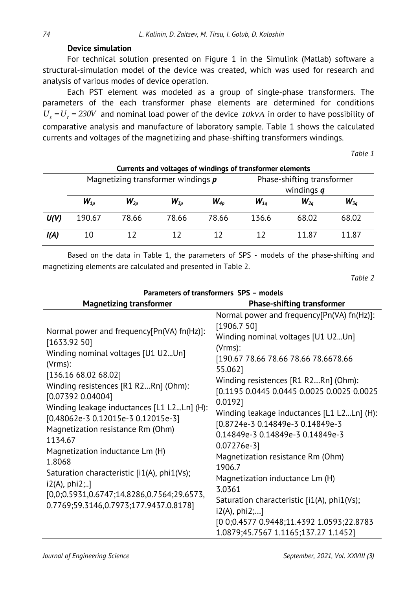## **Device simulation**

For technical solution presented on Figure 1 in the Simulink (Matlab) software a structural-simulation model of the device was created, which was used for research and analysis of various modes of device operation.

Each PST element was modeled as a group of single-phase transformers. The parameters of the each transformer phase elements are determined for conditions  $U_s = U_r = 230V$  and nominal load power of the device  $10kVA$  in order to have possibility of comparative analysis and manufacture of laboratory sample. Table 1 shows the calculated currents and voltages of the magnetizing and phase-shifting transformers windings.

*Table 1*

| Currents and voltages of windings of transformer elements |                                      |          |                      |          |                                            |          |          |  |
|-----------------------------------------------------------|--------------------------------------|----------|----------------------|----------|--------------------------------------------|----------|----------|--|
|                                                           | Magnetizing transformer windings $p$ |          |                      |          | Phase-shifting transformer<br>windings $q$ |          |          |  |
|                                                           | $W_{1p}$                             | $W_{2p}$ | $W_{\mathfrak{z}_p}$ | $W_{4p}$ | $W_{1a}$                                   | $W_{2a}$ | $W_{3q}$ |  |
| U(V)                                                      | 190.67                               | 78.66    | 78.66                | 78.66    | 136.6                                      | 68.02    | 68.02    |  |
| I(A)                                                      | 10                                   | 12       | 17                   | 17       |                                            | 11.87    | 11.87    |  |

Based on the data in Table 1, the parameters of SPS - models of the phase-shifting and magnetizing elements are calculated and presented in Table 2.

*Table 2*

| Parameters of transformers SPS - models                                                                                                                                                                                                                                                                                                                                                                                                                                                                                                       |                                                                                                                                                                                                                                                                                                                                                                                                                                                                                                                                                                                                                                                        |  |  |  |  |  |
|-----------------------------------------------------------------------------------------------------------------------------------------------------------------------------------------------------------------------------------------------------------------------------------------------------------------------------------------------------------------------------------------------------------------------------------------------------------------------------------------------------------------------------------------------|--------------------------------------------------------------------------------------------------------------------------------------------------------------------------------------------------------------------------------------------------------------------------------------------------------------------------------------------------------------------------------------------------------------------------------------------------------------------------------------------------------------------------------------------------------------------------------------------------------------------------------------------------------|--|--|--|--|--|
| <b>Magnetizing transformer</b>                                                                                                                                                                                                                                                                                                                                                                                                                                                                                                                | <b>Phase-shifting transformer</b>                                                                                                                                                                                                                                                                                                                                                                                                                                                                                                                                                                                                                      |  |  |  |  |  |
| Normal power and frequency[Pn(VA) fn(Hz)]:<br>[1633.92 50]<br>Winding nominal voltages [U1 U2Un]<br>(Vrms):<br>[136.16 68.02 68.02]<br>Winding resistences [R1 R2Rn] (Ohm):<br>[0.07392 0.04004]<br>Winding leakage inductances [L1 L2Ln] (H):<br>[0.48062e-3 0.12015e-3 0.12015e-3]<br>Magnetization resistance Rm (Ohm)<br>1134.67<br>Magnetization inductance Lm (H)<br>1.8068<br>Saturation characteristic [i1(A), phi1(Vs);<br>$i2(A), phi2; $ ]<br>[0,0;0.5931,0.6747;14.8286,0.7564;29.6573,<br>0.7769;59.3146,0.7973;177.9437.0.8178] | Normal power and frequency[Pn(VA) fn(Hz)]:<br>[1906.7 50]<br>Winding nominal voltages [U1 U2Un]<br>(Vrms):<br>[190.67 78.66 78.66 78.66 78.6678.66<br>55.062]<br>Winding resistences [R1 R2Rn] (Ohm):<br>[0.1195 0.0445 0.0445 0.0025 0.0025 0.0025<br>0.0192<br>Winding leakage inductances [L1 L2Ln] (H):<br>[0.8724e-3 0.14849e-3 0.14849e-3<br>0.14849e-3 0.14849e-3 0.14849e-3<br>$0.07276e-3$ ]<br>Magnetization resistance Rm (Ohm)<br>1906.7<br>Magnetization inductance Lm (H)<br>3.0361<br>Saturation characteristic [i1(A), phi1(Vs);<br>i2(A), phi2;]<br>[0 0;0.4577 0.9448;11.4392 1.0593;22.8783<br>1.0879;45.7567 1.1165;137.27 1.1452] |  |  |  |  |  |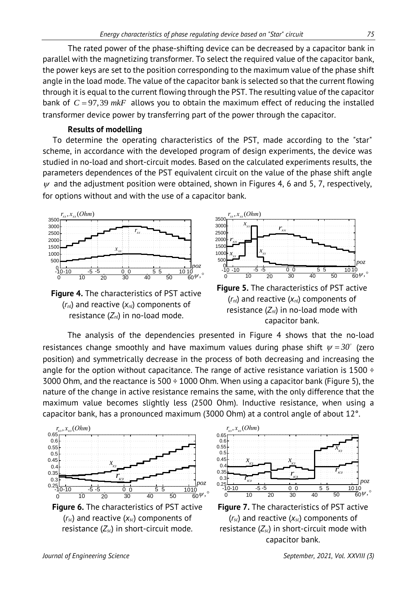The rated power of the phase-shifting device can be decreased by a capacitor bank in parallel with the magnetizing transformer. To select the required value of the capacitor bank, the power keys are set to the position corresponding to the maximum value of the phase shift angle in the load mode. The value of the capacitor bank is selected so that the current flowing through it is equal to the current flowing through the PST. The resulting value of the capacitor bank of  $C = 97,39$   $mkF$  allows you to obtain the maximum effect of reducing the installed transformer device power by transferring part of the power through the capacitor.

#### **Results of modelling**

To determine the operating characteristics of the PST, made according to the "star" scheme, in accordance with the developed program of design experiments, the device was studied in no-load and short-circuit modes. Based on the calculated experiments results, the parameters dependences of the PST equivalent circuit on the value of the phase shift angle  $\psi$  and the adjustment position were obtained, shown in Figures 4, 6 and 5, 7, respectively, for options without and with the use of a capacitor bank.



**Figure 4.** The characteristics of PST active (*rnl*) and reactive (*xnl*) components of resistance (*Znl*) in no-load mode.



**Figure 5.** The characteristics of PST active (*rnl*) and reactive (*xnl*) components of resistance (*Znl*) in no-load mode with capacitor bank.

The analysis of the dependencies presented in Figure 4 shows that the no-load resistances change smoothly and have maximum values during phase shift  $\psi = 30^{\circ}$  (zero position) and symmetrically decrease in the process of both decreasing and increasing the angle for the option without capacitance. The range of active resistance variation is  $1500 \div$ 3000 Ohm, and the reactance is 500  $\div$  1000 Ohm. When using a capacitor bank (Figure 5), the nature of the change in active resistance remains the same, with the only difference that the maximum value becomes slightly less (2500 Ohm). Inductive resistance, when using a capacitor bank, has a pronounced maximum (3000 Ohm) at a control angle of about 12°.



**Figure 6.** The characteristics of PST active (*rsc*) and reactive (*xsc*) components of resistance (*Zsc*) in short-circuit mode.



**Figure 7.** The characteristics of PST active (*rsc*) and reactive (*xsc*) components of resistance (*Zsc*) in short-circuit mode with capacitor bank.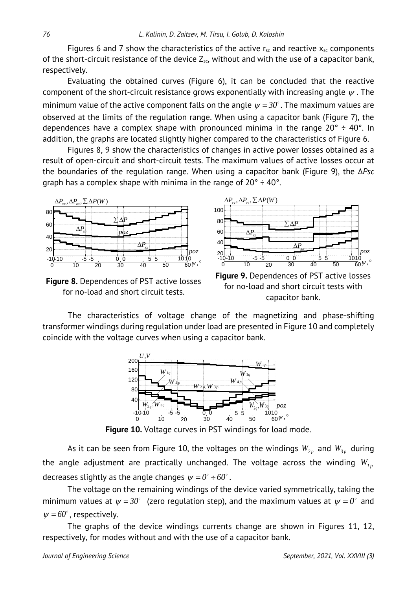Figures 6 and 7 show the characteristics of the active  $r_{sc}$  and reactive  $x_{sc}$  components of the short-circuit resistance of the device  $Z_{sc}$ , without and with the use of a capacitor bank, respectively.

Evaluating the obtained curves (Figure 6), it can be concluded that the reactive component of the short-circuit resistance grows exponentially with increasing angle  $\psi$ . The minimum value of the active component falls on the angle  $\psi = 30^\circ$ . The maximum values are observed at the limits of the regulation range. When using a capacitor bank (Figure 7), the dependences have a complex shape with pronounced minima in the range  $20^{\circ} \div 40^{\circ}$ . In addition, the graphs are located slightly higher compared to the characteristics of Figure 6.

Figures 8, 9 show the characteristics of changes in active power losses obtained as a result of open-circuit and short-circuit tests. The maximum values of active losses occur at the boundaries of the regulation range. When using a capacitor bank (Figure 9), the *ΔРsc* graph has a complex shape with minima in the range of  $20^\circ \div 40^\circ$ .



**Figure 8.** Dependences of PST active losses for no-load and short circuit tests.



**Figure 9.** Dependences of PST active losses for no-load and short circuit tests with capacitor bank.

The characteristics of voltage change of the magnetizing and phase-shifting transformer windings during regulation under load are presented in Figure 10 and completely coincide with the voltage curves when using a capacitor bank.



**Figure 10.** Voltage curves in PST windings for load mode.

As it can be seen from Figure 10, the voltages on the windings  $W_{2p}$  and  $W_{3p}$  during the angle adjustment are practically unchanged. The voltage across the winding  $W_{1n}$ decreases slightly as the angle changes  $\psi = 0^\circ \div 60^\circ$ .

The voltage on the remaining windings of the device varied symmetrically, taking the minimum values at  $\psi = 30^{\circ}$  (zero regulation step), and the maximum values at  $\psi = 0^{\circ}$  and  $\psi = 60^\circ$ , respectively.

The graphs of the device windings currents change are shown in Figures 11, 12, respectively, for modes without and with the use of a capacitor bank.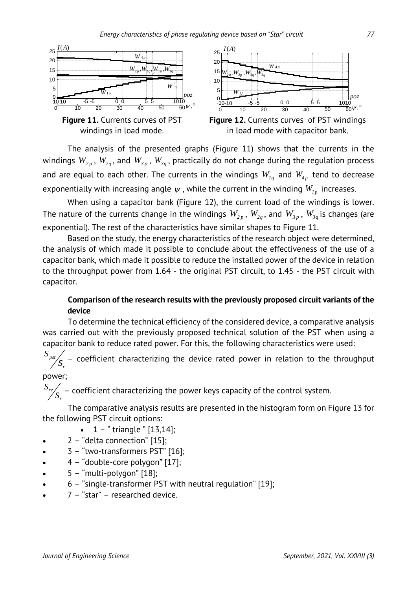





**Figure 12.** Currents curves of PST windings in load mode with capacitor bank.

The analysis of the presented graphs (Figure 11) shows that the currents in the windings  $W_{2p}$ ,  $W_{2q}$ , and  $W_{3p}$ ,  $W_{3q}$ , practically do not change during the regulation process and are equal to each other. The currents in the windings  $W_{1q}$  and  $W_{4p}$  tend to decrease exponentially with increasing angle  $\psi$ , while the current in the winding  $W_{1p}$  increases.

When using a capacitor bank (Figure 12), the current load of the windings is lower. The nature of the currents change in the windings  $W_{2p}$ ,  $W_{2q}$ , and  $W_{3p}$ ,  $W_{3q}$  is changes (are exponential). The rest of the characteristics have similar shapes to Figure 11.

Based on the study, the energy characteristics of the research object were determined, the analysis of which made it possible to conclude about the effectiveness of the use of a capacitor bank, which made it possible to reduce the installed power of the device in relation to the throughput power from 1.64 - the original PST circuit, to 1.45 - the PST circuit with capacitor.

# **Comparison of the research results with the previously proposed circuit variants of the device**

To determine the technical efficiency of the considered device, a comparative analysis was carried out with the previously proposed technical solution of the PST when using a capacitor bank to reduce rated power. For this, the following characteristics were used:

*pst r*  $\frac{S_{\tiny{pst}}}{S_{\tiny{r}}}$  – coefficient characterizing the device rated power in relation to the throughput

# power;

*r*

*re*  $\frac{S_{re}}{S_{r}}$  – coefficient characterizing the power keys capacity of the control system.

The comparative analysis results are presented in the histogram form on Figure 13 for the following PST circuit options:

- $1 -$  " triangle "  $[13, 14]$ ;
- 2 "delta connection" [15];
- 3 "two-transformers PST" [16];
- 4 "double-core polygon" [17];
- 5 "multi-polygon" [18];
- 6 "single-transformer PST with neutral regulation" [19];
- $7 -$  "star" researched device.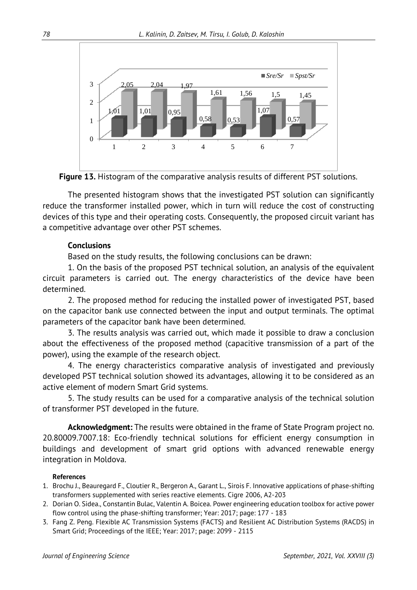

**Figure 13.** Histogram of the comparative analysis results of different PST solutions.

The presented histogram shows that the investigated PST solution can significantly reduce the transformer installed power, which in turn will reduce the cost of constructing devices of this type and their operating costs. Consequently, the proposed circuit variant has a competitive advantage over other PST schemes.

## **Conclusions**

Based on the study results, the following conclusions can be drawn:

1. On the basis of the proposed PST technical solution, an analysis of the equivalent circuit parameters is carried out. The energy characteristics of the device have been determined.

2. The proposed method for reducing the installed power of investigated PST, based on the capacitor bank use connected between the input and output terminals. The optimal parameters of the capacitor bank have been determined.

3. The results analysis was carried out, which made it possible to draw a conclusion about the effectiveness of the proposed method (capacitive transmission of a part of the power), using the example of the research object.

4. The energy characteristics comparative analysis of investigated and previously developed PST technical solution showed its advantages, allowing it to be considered as an active element of modern Smart Grid systems.

5. The study results can be used for a comparative analysis of the technical solution of transformer PST developed in the future.

**Acknowledgment:** The results were obtained in the frame of State Program project no. 20.80009.7007.18: Eco-friendly technical solutions for efficient energy consumption in buildings and development of smart grid options with advanced renewable energy integration in Moldova.

#### **References**

- 1. Brochu J., Beauregard F., Cloutier R., Bergeron A., Garant L., Sirois F. Innovative applications of phase-shifting transformers supplemented with series reactive elements. Cigre 2006, A2-203
- 2. Dorian O. Sidea., Constantin Bulac, Valentin A. Boicea. Power engineering education toolbox for active power flow control using the phase-shifting transformer; Year: 2017; page: 177 - 183
- 3. Fang Z. Peng. Flexible AC Transmission Systems (FACTS) and Resilient AC Distribution Systems (RACDS) in Smart Grid; Proceedings of the IEEE; Year: 2017; page: 2099 - 2115